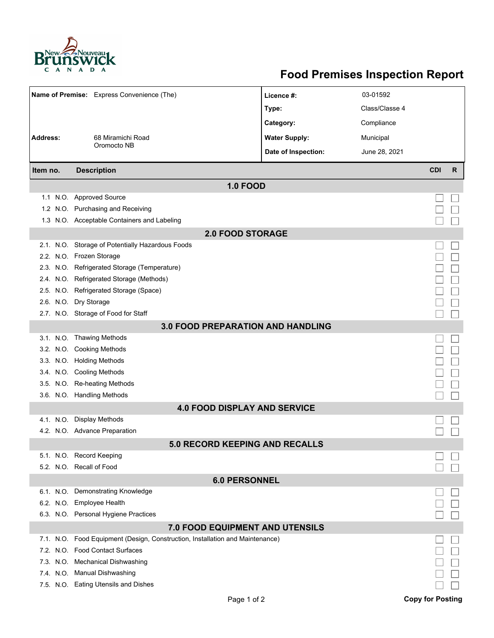

## **Food Premises Inspection Report**

| Name of Premise: Express Convenience (The) |  |                                                                               | Licence #:           | 03-01592       |            |   |  |  |  |  |  |
|--------------------------------------------|--|-------------------------------------------------------------------------------|----------------------|----------------|------------|---|--|--|--|--|--|
|                                            |  |                                                                               | Type:                | Class/Classe 4 |            |   |  |  |  |  |  |
|                                            |  |                                                                               | Category:            | Compliance     |            |   |  |  |  |  |  |
| <b>Address:</b>                            |  | 68 Miramichi Road                                                             | <b>Water Supply:</b> | Municipal      |            |   |  |  |  |  |  |
|                                            |  | Oromocto NB                                                                   | Date of Inspection:  | June 28, 2021  |            |   |  |  |  |  |  |
| Item no.                                   |  | <b>Description</b>                                                            |                      |                | <b>CDI</b> | R |  |  |  |  |  |
|                                            |  |                                                                               |                      |                |            |   |  |  |  |  |  |
|                                            |  | <b>1.0 FOOD</b>                                                               |                      |                |            |   |  |  |  |  |  |
|                                            |  | 1.1 N.O. Approved Source<br>1.2 N.O. Purchasing and Receiving                 |                      |                |            |   |  |  |  |  |  |
|                                            |  | 1.3 N.O. Acceptable Containers and Labeling                                   |                      |                |            |   |  |  |  |  |  |
|                                            |  | <b>2.0 FOOD STORAGE</b>                                                       |                      |                |            |   |  |  |  |  |  |
|                                            |  | 2.1. N.O. Storage of Potentially Hazardous Foods                              |                      |                |            |   |  |  |  |  |  |
|                                            |  | 2.2. N.O. Frozen Storage                                                      |                      |                |            |   |  |  |  |  |  |
|                                            |  | 2.3. N.O. Refrigerated Storage (Temperature)                                  |                      |                |            |   |  |  |  |  |  |
|                                            |  | 2.4. N.O. Refrigerated Storage (Methods)                                      |                      |                |            |   |  |  |  |  |  |
|                                            |  | 2.5. N.O. Refrigerated Storage (Space)                                        |                      |                |            |   |  |  |  |  |  |
|                                            |  | 2.6. N.O. Dry Storage                                                         |                      |                |            |   |  |  |  |  |  |
|                                            |  | 2.7. N.O. Storage of Food for Staff                                           |                      |                |            |   |  |  |  |  |  |
| <b>3.0 FOOD PREPARATION AND HANDLING</b>   |  |                                                                               |                      |                |            |   |  |  |  |  |  |
|                                            |  | 3.1. N.O. Thawing Methods                                                     |                      |                |            |   |  |  |  |  |  |
|                                            |  | 3.2. N.O. Cooking Methods                                                     |                      |                |            |   |  |  |  |  |  |
|                                            |  | 3.3. N.O. Holding Methods                                                     |                      |                |            |   |  |  |  |  |  |
|                                            |  | 3.4. N.O. Cooling Methods                                                     |                      |                |            |   |  |  |  |  |  |
|                                            |  | 3.5. N.O. Re-heating Methods                                                  |                      |                |            |   |  |  |  |  |  |
|                                            |  | 3.6. N.O. Handling Methods                                                    |                      |                |            |   |  |  |  |  |  |
| <b>4.0 FOOD DISPLAY AND SERVICE</b>        |  |                                                                               |                      |                |            |   |  |  |  |  |  |
|                                            |  | 4.1. N.O. Display Methods                                                     |                      |                |            |   |  |  |  |  |  |
|                                            |  | 4.2. N.O. Advance Preparation                                                 |                      |                |            |   |  |  |  |  |  |
|                                            |  | <b>5.0 RECORD KEEPING AND RECALLS</b>                                         |                      |                |            |   |  |  |  |  |  |
|                                            |  | 5.1. N.O. Record Keeping                                                      |                      |                |            |   |  |  |  |  |  |
|                                            |  | 5.2. N.O. Recall of Food                                                      |                      |                |            |   |  |  |  |  |  |
| <b>6.0 PERSONNEL</b>                       |  |                                                                               |                      |                |            |   |  |  |  |  |  |
|                                            |  | 6.1. N.O. Demonstrating Knowledge                                             |                      |                |            |   |  |  |  |  |  |
|                                            |  | 6.2. N.O. Employee Health                                                     |                      |                |            |   |  |  |  |  |  |
|                                            |  | 6.3. N.O. Personal Hygiene Practices                                          |                      |                |            |   |  |  |  |  |  |
|                                            |  | 7.0 FOOD EQUIPMENT AND UTENSILS                                               |                      |                |            |   |  |  |  |  |  |
|                                            |  | 7.1. N.O. Food Equipment (Design, Construction, Installation and Maintenance) |                      |                |            |   |  |  |  |  |  |
|                                            |  | 7.2. N.O. Food Contact Surfaces                                               |                      |                |            |   |  |  |  |  |  |
|                                            |  | 7.3. N.O. Mechanical Dishwashing                                              |                      |                |            |   |  |  |  |  |  |
|                                            |  | 7.4. N.O. Manual Dishwashing                                                  |                      |                |            |   |  |  |  |  |  |
|                                            |  | 7.5. N.O. Eating Utensils and Dishes                                          |                      |                |            |   |  |  |  |  |  |